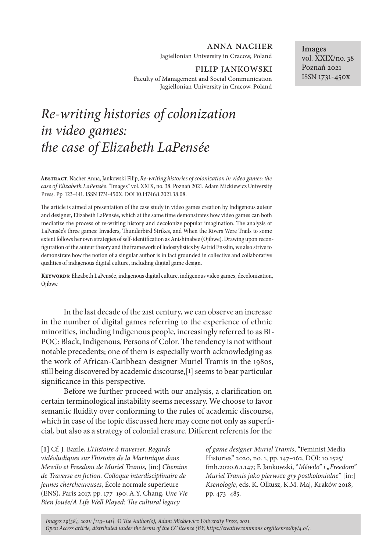## anna nacher

Jagiellonian University in Cracow, Poland

# FILIP JANKOWSKI

Faculty of Management and Social Communication Jagiellonian University in Cracow, Poland

# *Re-writing histories of colonization in video games: the case of Elizabeth LaPensée*

**Abstract**. Nacher Anna, Jankowski Filip, *Re-writing histories of colonization in video games: the case of Elizabeth LaPensée*. "Images" vol. XXIX, no. 38. Poznań 2021. Adam Mickiewicz University Press. Pp. 123–141. ISSN 1731-450X. DOI 10.14746/i.2021.38.08.

The article is aimed at presentation of the case study in video games creation by Indigenous auteur and designer, Elizabeth LaPensée, which at the same time demonstrates how video games can both mediatize the process of re-writing history and decolonize popular imagination. The analysis of LaPensée's three games: Invaders, Thunderbird Strikes, and When the Rivers Were Trails to some extent follows her own strategies of self-identification as Anishinabee (Ojibwe). Drawing upon reconfiguration of the auteur theory and the framework of ludostylistics by Astrid Ensslin, we also strive to demonstrate how the notion of a singular author is in fact grounded in collective and collaborative qualities of indigenous digital culture, including digital game design.

**Keywords**: Elizabeth LaPensée, indigenous digital culture, indigenous video games, decolonization, Ojibwe

In the last decade of the 21st century, we can observe an increase in the number of digital games referring to the experience of ethnic minorities, including Indigenous people, increasingly referred to as BI-POC: Black, Indigenous, Persons of Color. The tendency is not without notable precedents; one of them is especially worth acknowledging as the work of African-Caribbean designer Muriel Tramis in the 1980s, still being discovered by academic discourse,[**1**] seems to bear particular significance in this perspective.

Before we further proceed with our analysis, a clarification on certain terminological instability seems necessary. We choose to favor semantic fluidity over conforming to the rules of academic discourse, which in case of the topic discussed here may come not only as superficial, but also as a strategy of colonial erasure. Different referents for the

**[1]** Cf. J. Bazile, *L'Histoire à traverser. Regards vidéoludiques sur l'histoire de la Martinique dans Mewilo et Freedom de Muriel Tramis*, [in:] *Chemins de Traverse en fiction. Colloque interdisciplinaire de jeunes chercheureuses*, École normale supérieure (ENS), Paris 2017, pp. 177–190; A.Y. Chang, *Une Vie Bien Jouée/A Life Well Played: The cultural legacy* 

*of game designer Muriel Tramis*, "Feminist Media Histories" 2020, no. 1, pp. 147–162, DOI: 10.1525/ fmh.2020.6.1.147; F. Jankowski, "Méwilo" i "Freedom" *Muriel Tramis jako pierwsze gry postkolonialne*" [in:] *Ksenologie*, eds. K. Olkusz, K.M. Maj, Kraków 2018, pp. 473–485.

*Images 29(38), 2021: [123–141]. © The Author(s), Adam Mickiewicz University Press, 2021. Open Access article, distributed under the terms of the CC licence (BY, https://creativecommons.org/licenses/by/4.0/).*

**Images** vol. XXIX/no. 38 Poznań 2021 ISSN 1731-450x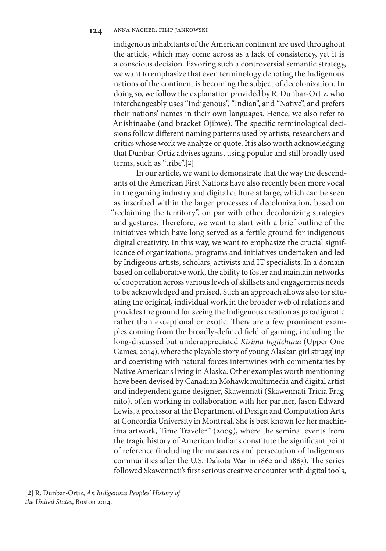indigenous inhabitants of the American continent are used throughout the article, which may come across as a lack of consistency, yet it is a conscious decision. Favoring such a controversial semantic strategy, we want to emphasize that even terminology denoting the Indigenous nations of the continent is becoming the subject of decolonization. In doing so, we follow the explanation provided by R. Dunbar-Ortiz, who interchangeably uses "Indigenous", "Indian", and "Native", and prefers their nations' names in their own languages. Hence, we also refer to Anishinaabe (and bracket Ojibwe). The specific terminological decisions follow different naming patterns used by artists, researchers and critics whose work we analyze or quote. It is also worth acknowledging that Dunbar-Ortiz advises against using popular and still broadly used terms, such as "tribe".[**2**]

In our article, we want to demonstrate that the way the descendants of the American First Nations have also recently been more vocal in the gaming industry and digital culture at large, which can be seen as inscribed within the larger processes of decolonization, based on "reclaiming the territory", on par with other decolonizing strategies and gestures. Therefore, we want to start with a brief outline of the initiatives which have long served as a fertile ground for indigenous digital creativity. In this way, we want to emphasize the crucial significance of organizations, programs and initiatives undertaken and led by Indigeous artists, scholars, activists and IT specialists. In a domain based on collaborative work, the ability to foster and maintain networks of cooperation across various levels of skillsets and engagements needs to be acknowledged and praised. Such an approach allows also for situating the original, individual work in the broader web of relations and provides the ground for seeing the Indigenous creation as paradigmatic rather than exceptional or exotic. There are a few prominent examples coming from the broadly-defined field of gaming, including the long-discussed but underappreciated *Kisima Ingitchuna* (Upper One Games, 2014), where the playable story of young Alaskan girl struggling and coexisting with natural forces intertwines with commentaries by Native Americans living in Alaska. Other examples worth mentioning have been devised by Canadian Mohawk multimedia and digital artist and independent game designer, Skawennati (Skawennati Tricia Fragnito), often working in collaboration with her partner, Jason Edward Lewis, a professor at the Department of Design and Computation Arts at Concordia University in Montreal. She is best known for her machinima artwork, Time Traveler™ (2009), where the seminal events from the tragic history of American Indians constitute the significant point of reference (including the massacres and persecution of Indigenous communities after the U.S. Dakota War in 1862 and 1863). The series followed Skawennati's first serious creative encounter with digital tools,

**[2]** R. Dunbar-Ortiz, *An Indigenous Peoples' History of the United States*, Boston 2014.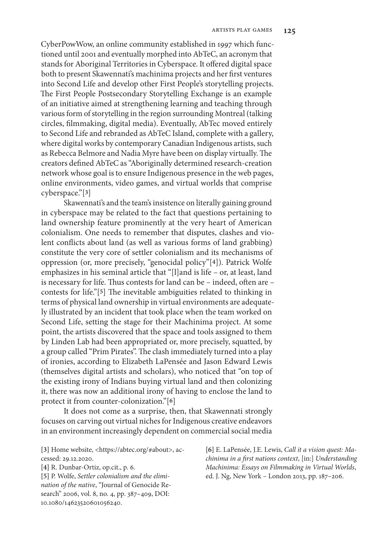CyberPowWow, an online community established in 1997 which functioned until 2001 and eventually morphed into AbTeC, an acronym that stands for Aboriginal Territories in Cyberspace. It offered digital space both to present Skawennati's machinima projects and her first ventures into Second Life and develop other First People's storytelling projects. The First People Postsecondary Storytelling Exchange is an example of an initiative aimed at strengthening learning and teaching through various form of storytelling in the region surrounding Montreal (talking circles, filmmaking, digital media). Eventually, AbTec moved entirely to Second Life and rebranded as AbTeC Island, complete with a gallery, where digital works by contemporary Canadian Indigenous artists, such as Rebecca Belmore and Nadia Myre have been on display virtually. The creators defined AbTeC as "Aboriginally determined research-creation network whose goal is to ensure Indigenous presence in the web pages, online environments, video games, and virtual worlds that comprise cyberspace."[**3**]

Skawennati's and the team's insistence on literally gaining ground in cyberspace may be related to the fact that questions pertaining to land ownership feature prominently at the very heart of American colonialism. One needs to remember that disputes, clashes and violent conflicts about land (as well as various forms of land grabbing) constitute the very core of settler colonialism and its mechanisms of oppression (or, more precisely, "genocidal policy"[**4**]). Patrick Wolfe emphasizes in his seminal article that "[l]and is life – or, at least, land is necessary for life. Thus contests for land can be – indeed, often are – contests for life."[**5**] The inevitable ambiguities related to thinking in terms of physical land ownership in virtual environments are adequately illustrated by an incident that took place when the team worked on Second Life, setting the stage for their Machinima project. At some point, the artists discovered that the space and tools assigned to them by Linden Lab had been appropriated or, more precisely, squatted, by a group called "Prim Pirates". The clash immediately turned into a play of ironies, according to Elizabeth LaPensée and Jason Edward Lewis (themselves digital artists and scholars), who noticed that "on top of the existing irony of Indians buying virtual land and then colonizing it, there was now an additional irony of having to enclose the land to protect it from counter-colonization."[**6**]

It does not come as a surprise, then, that Skawennati strongly focuses on carving out virtual niches for Indigenous creative endeavors in an environment increasingly dependent on commercial social media

**[3]** Home website, <https://abtec.org/#about>, accessed: 29.12.2020.

**[4]** R. Dunbar-Ortiz, op.cit., p. 6. **[5]** P. Wolfe, *Settler colonialism and the elimination of the native*, "Journal of Genocide Research" 2006, vol. 8, no. 4, pp. 387–409, DOI: 10.1080/14623520601056240.

**[6]** E. LaPensée, J.E. Lewis, *Call it a vision quest: Machinima in a first nations context*, [in:] *Understanding Machinima: Essays on Filmmaking in Virtual Worlds*, ed. J. Ng, New York – London 2013, pp. 187–206.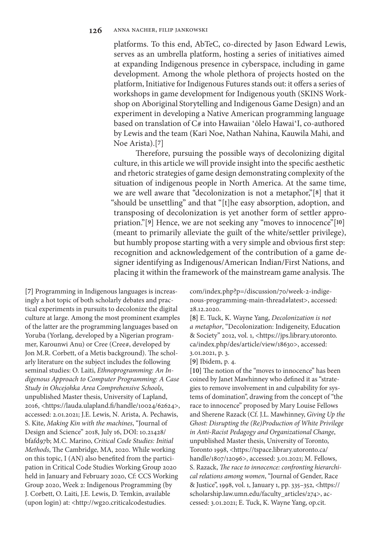platforms. To this end, AbTeC, co-directed by Jason Edward Lewis, serves as an umbrella platform, hosting a series of initiatives aimed at expanding Indigenous presence in cyberspace, including in game development. Among the whole plethora of projects hosted on the platform, Initiative for Indigenous Futures stands out: it offers a series of workshops in game development for Indigenous youth (SKINS Workshop on Aboriginal Storytelling and Indigenous Game Design) and an experiment in developing a Native American programming language based on translation of C# into Hawaiian 'ōlelo Hawai'I, co-authored by Lewis and the team (Kari Noe, Nathan Nahina, Kauwila Mahi, and Noe Arista).[**7**]

Therefore, pursuing the possible ways of decolonizing digital culture, in this article we will provide insight into the specific aesthetic and rhetoric strategies of game design demonstrating complexity of the situation of indigenous people in North America. At the same time, we are well aware that "decolonization is not a metaphor,"[**8**] that it "should be unsettling" and that "[t]he easy absorption, adoption, and transposing of decolonization is yet another form of settler appropriation."[**9**] Hence, we are not seeking any "moves to innocence"[**10**] (meant to primarily alleviate the guilt of the white/settler privilege), but humbly propose starting with a very simple and obvious first step: recognition and acknowledgement of the contribution of a game designer identifying as Indigenous/American Indian/First Nations, and placing it within the framework of the mainstream game analysis. The

**[7]** Programming in Indigenous languages is increasingly a hot topic of both scholarly debates and practical experiments in pursuits to decolonize the digital culture at large. Among the most prominent examples of the latter are the programming languages based on Yoruba (Yorlang, developed by a Nigerian programmer, Karounwi Anu) or Cree (Cree#, developed by Jon M.R. Corbett, of a Metis background). The scholarly literature on the subject includes the following seminal studies: O. Laiti, *Ethnoprogramming: An Indigenous Approach to Computer Programming: A Case Study in Ohcejohka Area Comprehensive Schools*, unpublished Master thesis, University of Lapland, 2016, <https://lauda.ulapland.fi/handle/10024/62624>, accessed: 2.01.2021; J.E. Lewis, N. Arista, A. Pechawis, S. Kite, *Making Kin with the machines*, "Journal of Design and Science" 2018, July 16, DOI: 10.21428/ bfafd97b; M.C. Marino, *Critical Code Studies: Initial Methods*, The Cambridge, MA, 2020. While working on this topic, I (AN) also benefited from the participation in Critical Code Studies Working Group 2020 held in January and February 2020, Cf: CCS Working Group 2020, Week 2: Indigenous Programming (by J. Corbett, O. Laiti, J.E. Lewis, D. Temkin, available (upon login) at: <http://wg20.criticalcodestudies.

com/index.php?p=/discussion/70/week-2-indigenous-programming-main-thread#latest>, accessed: 28.12.2020.

**[8]** E. Tuck, K. Wayne Yang, *Decolonization is not a metaphor*, "Decolonization: Indigeneity, Education & Society" 2012, vol. 1, <https://jps.library.utoronto. ca/index.php/des/article/view/18630>, accessed: 3.01.2021, p. 3.

**[9]** Ibidem, p. 4.

**[10]** The notion of the "moves to innocence" has been coined by Janet Mawhinney who defined it as "strategies to remove involvement in and culpability for systems of domination", drawing from the concept of "the race to innocence" proposed by Mary Louise Fellows and Sherene Razack (Cf. J.L. Mawhinney, *Giving Up the Ghost: Disrupting the (Re)Production of White Privilege in Anti-Racist Pedagogy and Organizational Change*, unpublished Master thesis, University of Toronto, Toronto 1998, <https://tspace.library.utoronto.ca/ handle/1807/12096>, accessed: 3.01.2021; M. Fellows, S. Razack, *The race to innocence: confronting hierarchical relations among women*, "Journal of Gender, Race & Justice", 1998, vol. 1, January 1, pp. 335–352, <https:// scholarship.law.umn.edu/faculty\_articles/274>, accessed: 3.01.2021; E. Tuck, K. Wayne Yang, op.cit.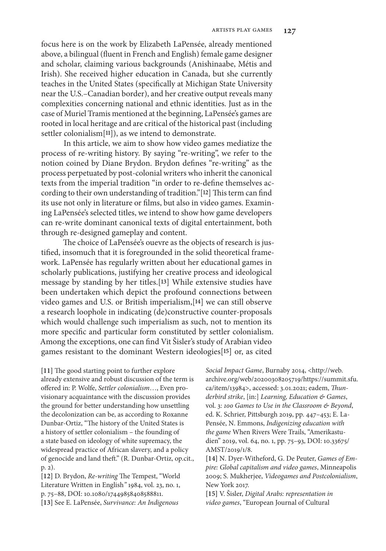focus here is on the work by Elizabeth LaPensée, already mentioned above, a bilingual (fluent in French and English) female game designer and scholar, claiming various backgrounds (Anishinaabe, Métis and Irish). She received higher education in Canada, but she currently teaches in the United States (specifically at Michigan State University near the U.S.–Canadian border), and her creative output reveals many complexities concerning national and ethnic identities. Just as in the case of Muriel Tramis mentioned at the beginning, LaPensée's games are rooted in local heritage and are critical of the historical past (including settler colonialism[**11**]), as we intend to demonstrate.

In this article, we aim to show how video games mediatize the process of re-writing history. By saying "re-writing", we refer to the notion coined by Diane Brydon. Brydon defines "re-writing" as the process perpetuated by post-colonial writers who inherit the canonical texts from the imperial tradition "in order to re-define themselves according to their own understanding of tradition."[**12**] This term can find its use not only in literature or films, but also in video games. Examining LaPensée's selected titles, we intend to show how game developers can re-write dominant canonical texts of digital entertainment, both through re-designed gameplay and content.

The choice of LaPensée's ouevre as the objects of research is justified, insomuch that it is foregrounded in the solid theoretical framework. LaPensée has regularly written about her educational games in scholarly publications, justifying her creative process and ideological message by standing by her titles.[**13**] While extensive studies have been undertaken which depict the profound connections between video games and U.S. or British imperialism,[**14**] we can still observe a research loophole in indicating (de)constructive counter-proposals which would challenge such imperialism as such, not to mention its more specific and particular form constituted by settler colonialism. Among the exceptions, one can find Vit Šisler's study of Arabian video games resistant to the dominant Western ideologies[**15**] or, as cited

**[11]** The good starting point to further explore already extensive and robust discussion of the term is offered in: P. Wolfe, *Settler colonialism*…, Even provisionary acquaintance with the discussion provides the ground for better understanding how unsettling the decolonization can be, as according to Roxanne Dunbar-Ortiz, "The history of the United States is a history of settler colonialism – the founding of a state based on ideology of white supremacy, the widespread practice of African slavery, and a policy of genocide and land theft." (R. Dunbar-Ortiz, op.cit., p. 2).

**[12]** D. Brydon, *Re-writing* The Tempest, "World Literature Written in English*"* 1984, vol. 23, no. 1, p. 75–88, DOI: 10.1080/17449858408588811. **[13]** See E. LaPensée, *Survivance: An Indigenous* 

*Social Impact Game*, Burnaby 2014, <http://web. archive.org/web/20200308205719/https://summit.sfu. ca/item/13984>, accessed: 3.01.2021; eadem, *Thunderbird strike*, [in:] *Learning, Education & Games*, vol. 3: *100 Games to Use in the Classroom & Beyond*, ed. K. Schrier, Pittsburgh 2019, pp. 447–453; E. La-Pensée, N. Emmons, *Indigenizing education with the game* When Rivers Were Trails, "Amerikastudien" 2019, vol. 64, no. 1, pp. 75–93, DOI: 10.33675/ AMST/2019/1/8.

**[14]** N. Dyer-Witheford, G. De Peuter, *Games of Empire: Global capitalism and video games*, Minneapolis 2009; S. Mukherjee, *Videogames and Postcolonialism*, New York 2017.

**[15]** V. Šisler, *Digital Arabs: representation in video games*, "European Journal of Cultural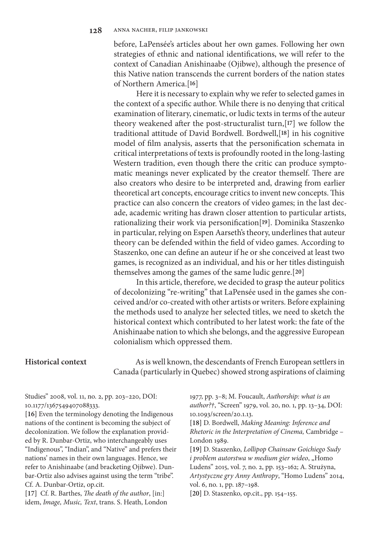before, LaPensée's articles about her own games. Following her own strategies of ethnic and national identifications, we will refer to the context of Canadian Anishinaabe (Ojibwe), although the presence of this Native nation transcends the current borders of the nation states of Northern America.[**16**]

Here it is necessary to explain why we refer to selected games in the context of a specific author. While there is no denying that critical examination of literary, cinematic, or ludic texts in terms of the auteur theory weakened after the post-structuralist turn,[**17**] we follow the traditional attitude of David Bordwell. Bordwell,[**18**] in his cognitive model of film analysis, asserts that the personification schemata in critical interpretations of texts is profoundly rooted in the long-lasting Western tradition, even though there the critic can produce symptomatic meanings never explicated by the creator themself. There are also creators who desire to be interpreted and, drawing from earlier theoretical art concepts, encourage critics to invent new concepts. This practice can also concern the creators of video games; in the last decade, academic writing has drawn closer attention to particular artists, rationalizing their work via personification[**19**]. Dominika Staszenko in particular, relying on Espen Aarseth's theory, underlines that auteur theory can be defended within the field of video games. According to Staszenko, one can define an auteur if he or she conceived at least two games, is recognized as an individual, and his or her titles distinguish themselves among the games of the same ludic genre.[**20**]

In this article, therefore, we decided to grasp the auteur politics of decolonizing "re-writing" that LaPensée used in the games she conceived and/or co-created with other artists or writers. Before explaining the methods used to analyze her selected titles, we need to sketch the historical context which contributed to her latest work: the fate of the Anishinaabe nation to which she belongs, and the aggressive European colonialism which oppressed them.

# **Historical context**

As is well known, the descendants of French European settlers in Canada (particularly in Quebec) showed strong aspirations of claiming

Studies" 2008, vol. 11, no. 2, pp. 203–220, DOI: 10.1177/1367549407088333.

**[16]** Even the terminology denoting the Indigenous nations of the continent is becoming the subject of decolonization. We follow the explanation provided by R. Dunbar-Ortiz, who interchangeably uses "Indigenous", "Indian", and "Native" and prefers their nations' names in their own languages. Hence, we refer to Anishinaabe (and bracketing Ojibwe). Dunbar-Ortiz also advises against using the term "tribe". Cf. A. Dunbar-Ortiz, op.cit.

**[17]** Cf. R. Barthes, *The death of the author*, [in:] idem, *Image, Music, Text*, trans. S. Heath, London 1977, pp. 3–8; M. Foucault, *Authorship: what is an author?†*, "Screen" 1979, vol. 20, no. 1, pp. 13–34, DOI: 10.1093/screen/20.1.13.

**[18]** D. Bordwell, *Making Meaning: Inference and Rhetoric in the Interpretation of Cinema,* Cambridge – London 1989.

**[19]** D. Staszenko, *Lollipop Chainsaw Goichiego Sudy i problem autorstwa w medium gier wideo*, "Homo Ludens" 2015, vol. 7, no. 2, pp. 153–162; A. Strużyna, *Artystyczne gry Anny Anthropy*, "Homo Ludens" 2014, vol. 6, no. 1, pp. 187–198.

**[20]** D. Staszenko, op.cit., pp. 154–155.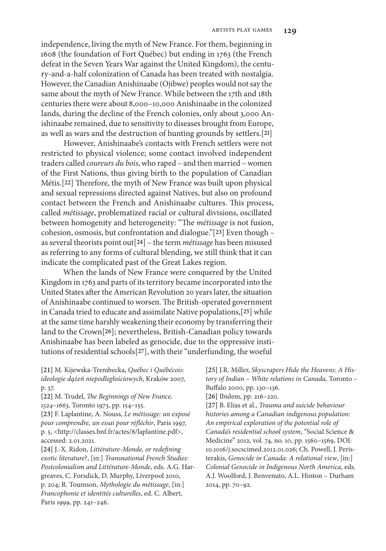independence, living the myth of New France. For them, beginning in 1608 (the foundation of Fort Québec) but ending in 1763 (the French defeat in the Seven Years War against the United Kingdom), the century-and-a-half colonization of Canada has been treated with nostalgia. However, the Canadian Anishinaabe (Ojibwe) peoples would not say the same about the myth of New France. While between the 17th and 18th centuries there were about 8,000–10,000 Anishinaabe in the colonized lands, during the decline of the French colonies, only about 3,000 Anishinaabe remained, due to sensitivity to diseases brought from Europe, as well as wars and the destruction of hunting grounds by settlers.[**21**]

However, Anishinaabe's contacts with French settlers were not restricted to physical violence; some contact involved independent traders called *coureurs du bois*, who raped – and then married – women of the First Nations, thus giving birth to the population of Canadian Métis.[**22**] Therefore, the myth of New France was built upon physical and sexual repressions directed against Natives, but also on profound contact between the French and Anishinaabe cultures. This process, called *métissage*, problematized racial or cultural divisions, oscillated between homogenity and heterogeneity: "The *métissage* is not fusion, cohesion, osmosis, but confrontation and dialogue."[**23**] Even though – as several theorists point out[**24**] – the term *métissage* has been misused as referring to any forms of cultural blending, we still think that it can indicate the complicated past of the Great Lakes region.

When the lands of New France were conquered by the United Kingdom in 1763 and parts of its territory became incorporated into the United States after the American Revolution 20 years later, the situation of Anishinaabe continued to worsen. The British-operated government in Canada tried to educate and assimilate Native populations,[**25**] while at the same time harshly weakening their economy by transferring their land to the Crown[**26**]; nevertheless, British-Canadian policy towards Anishinaabe has been labeled as genocide, due to the oppressive institutions of residential schools[**27**], with their "underfunding, the woeful

**[21]** M. Kijewska-Trembecka, *Québec i Québécois: ideologie dążeń niepodległościowych*, Kraków 2007, p. 37.

**[22]** M. Trudel, *The Beginnings of New France, 1524–1663,* Toronto 1973, pp. 154–155.

**[23]** F. Laplantine, A. Nouss, *Le métissage: un exposé pour comprendre, un essai pour réfléchir*, Paris 1997, p. 5, <http://classes.bnf.fr/actes/8/laplantine.pdf>, accessed: 2.01.2021.

**[24]** J.-X. Ridon, *Littérature-Monde, or redefining exotic literature*?, [in:] *Transnational French Studies: Postcolonialism and Littérature-Monde*, eds. A.G. Hargreaves, C. Forsdick, D. Murphy, Liverpool 2010, p. 204; R. Toumson, *Mythologie du métissage*, [in:] *Francophonie et identités culturelles*, ed. C. Albert, Paris 1999, pp. 241–246.

**[25]** J.R. Miller, *Skyscrapers Hide the Heavens: A History of Indian – White relations in Canada,* Toronto – Buffalo 2000, pp. 130–136.

**[26]** Ibidem, pp. 216–220.

**[27]** B. Elias et al., *Trauma and suicide behaviour histories among a Canadian indigenous population: An empirical exploration of the potential role of Canada's residential school system*, "Social Science & Medicine" 2012, vol. 74, no. 10, pp. 1560–1569, DOI: 10.1016/j.socscimed.2012.01.026; Ch. Powell, J. Peristerakis, *Genocide in Canada: A relational view*, [in:] *Colonial Genocide in Indigenous North America*, eds. A.J. Woolford, J. Benvenuto, A.L. Hinton – Durham 2014, pp. 70–92.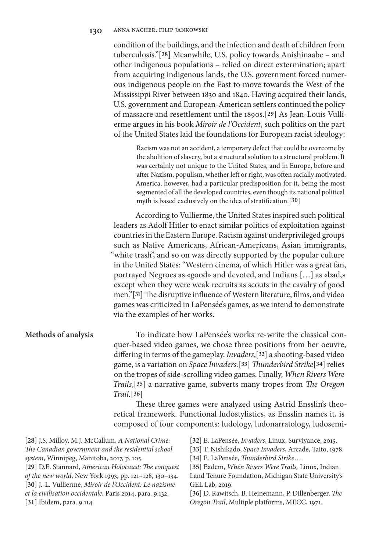# **130** anna nacher, filip jankowski

condition of the buildings, and the infection and death of children from tuberculosis."[**28**] Meanwhile, U.S. policy towards Anishinaabe – and other indigenous populations – relied on direct extermination; apart from acquiring indigenous lands, the U.S. government forced numerous indigenous people on the East to move towards the West of the Mississippi River between 1830 and 1840. Having acquired their lands, U.S. government and European-American settlers continued the policy of massacre and resettlement until the 1890s.[**29**] As Jean-Louis Vullierme argues in his book *Miroir de l'Occident*, such politics on the part of the United States laid the foundations for European racist ideology:

Racism was not an accident, a temporary defect that could be overcome by the abolition of slavery, but a structural solution to a structural problem. It was certainly not unique to the United States, and in Europe, before and after Nazism, populism, whether left or right, was often racially motivated. America, however, had a particular predisposition for it, being the most segmented of all the developed countries, even though its national political myth is based exclusively on the idea of stratification.[**30**]

According to Vullierme, the United States inspired such political leaders as Adolf Hitler to enact similar politics of exploitation against countries in the Eastern Europe. Racism against underprivileged groups such as Native Americans, African-Americans, Asian immigrants, "white trash", and so on was directly supported by the popular culture in the United States: "Western cinema, of which Hitler was a great fan, portrayed Negroes as «good» and devoted, and Indians […] as «bad,» except when they were weak recruits as scouts in the cavalry of good men."[**31**] The disruptive influence of Western literature, films, and video games was criticized in LaPensée's games, as we intend to demonstrate via the examples of her works.

# **Methods of analysis**

To indicate how LaPensée's works re-write the classical conquer-based video games, we chose three positions from her oeuvre, differing in terms of the gameplay. *Invaders*,[**32**] a shooting-based video game, is a variation on *Space Invaders.*[**33**] *Thunderbird Strike*[**34**] relies on the tropes of side-scrolling video games. Finally, *When Rivers Were Trails*,[**35**] a narrative game, subverts many tropes from *The Oregon Trail.*[**36**]

These three games were analyzed using Astrid Ensslin's theoretical framework. Functional ludostylistics, as Ensslin names it, is composed of four components: ludology, ludonarratology, ludosemi-

**[28]** J.S. Milloy, M.J. McCallum, *A National Crime: The Canadian government and the residential school system*, Winnipeg, Manitoba, 2017, p. 105. **[29]** D.E. Stannard, *American Holocaust: The conquest of the new world*, New York 1993, pp. 121–128, 130–134. **[30]** J.-L. Vullierme, *Miroir de l'Occident: Le nazisme et la civilisation occidentale,* Paris 2014, para. 9.132. **[31]** Ibidem, para. 9.114.

**[32]** E. LaPensée, *Invaders*, Linux, Survivance, 2015.

**[33]** T. Nishikado, *Space Invaders*, Arcade, Taito, 1978.

**[34]** E. LaPensée, *Thunderbird Strike*…

**[35]** Eadem, *When Rivers Were Trails,* Linux, Indian Land Tenure Foundation, Michigan State University's GEL Lab, 2019.

**[36]** D. Rawitsch, B. Heinemann, P. Dillenberger, *The Oregon Trail*, Multiple platforms, MECC, 1971.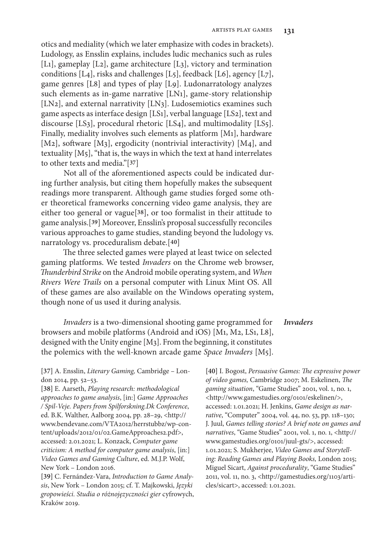otics and mediality (which we later emphasize with codes in brackets). Ludology, as Ensslin explains, includes ludic mechanics such as rules [L1], gameplay [L2], game architecture [L3], victory and termination conditions [L4], risks and challenges [L5], feedback [L6], agency [L7], game genres [L8] and types of play [L9]. Ludonarratology analyzes such elements as in-game narrative [LN1], game-story relationship [LN2], and external narrativity [LN3]. Ludosemiotics examines such game aspects as interface design [LS1], verbal language [LS2], text and discourse [LS3], procedural rhetoric [LS4], and multimodality [LS5]. Finally, mediality involves such elements as platform [M1], hardware [M2], software [M3], ergodicity (nontrivial interactivity) [M4], and textuality  $[M<sub>5</sub>]$ , "that is, the ways in which the text at hand interrelates to other texts and media."[**37**]

Not all of the aforementioned aspects could be indicated during further analysis, but citing them hopefully makes the subsequent readings more transparent. Although game studies forged some other theoretical frameworks concerning video game analysis, they are either too general or vague[**38**], or too formalist in their attitude to game analysis.[**39**] Moreover, Ensslin's proposal successfully reconciles various approaches to game studies, standing beyond the ludology vs. narratology vs. proceduralism debate.[**40**]

The three selected games were played at least twice on selected gaming platforms. We tested *Invaders* on the Chrome web browser, *Thunderbird Strike* on the Android mobile operating system, and *When Rivers Were Trails* on a personal computer with Linux Mint OS. All of these games are also available on the Windows operating system, though none of us used it during analysis.

*Invaders* is a two-dimensional shooting game programmed for browsers and mobile platforms (Android and iOS) [M1, M2, LS1, L8], designed with the Unity engine [M3]. From the beginning, it constitutes the polemics with the well-known arcade game *Space Invaders* [M5].

**[37]** A. Ensslin, *Literary Gaming,* Cambridge – London 2014, pp. 52–53.

**[38]** E. Aarseth, *Playing research: methodological approaches to game analysis*, [in:] *Game Approaches / Spil-Veje. Papers from Spilforskning.Dk Conference*, ed. B.K. Walther, Aalborg 2004, pp. 28–29, <http:// www.bendevane.com/VTA2012/herrstubbz/wp-content/uploads/2012/01/02.GameApproaches2.pdf>, accessed: 2.01.2021; L. Konzack, *Computer game criticism: A method for computer game analysis*, [in:] *Video Games and Gaming Culture*, ed. M.J.P. Wolf, New York – London 2016.

**[39]** C. Fernández-Vara, *Introduction to Game Analysis*, New York – London 2015; cf. T. Majkowski, *Języki gropowieści. Studia o różnojęzyczności gier* cyfrowych, Kraków 2019.

# *Invaders*

**[40]** I. Bogost, *Persuasive Games: The expressive power of video games,* Cambridge 2007; M. Eskelinen, *The gaming situation*, "Game Studies" 2001, vol. 1, no. 1, <http://www.gamestudies.org/0101/eskelinen/>, accessed: 1.01.2021; H. Jenkins, *Game design as narrative*, "Computer" 2004, vol. 44, no. 53, pp. 118–130; J. Juul, *Games telling stories? A brief note on games and narratives*, "Game Studies" 2001, vol. 1, no. 1, <http:// www.gamestudies.org/0101/juul-gts/>, accessed: 1.01.2021; S. Mukherjee, *Video Games and Storytelling: Reading Games and Playing Books,* London 2015; Miguel Sicart, *Against procedurality*, "Game Studies" 2011, vol. 11, no. 3, <http://gamestudies.org/1103/articles/sicart>, accessed: 1.01.2021.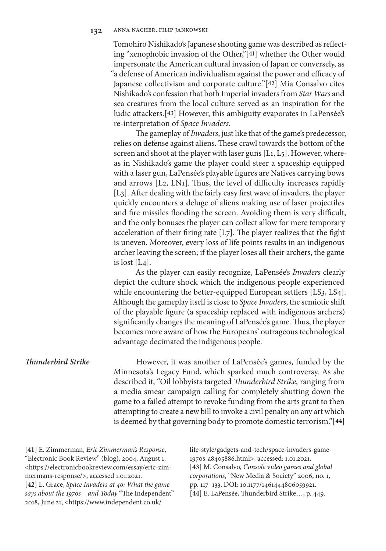Tomohiro Nishikado's Japanese shooting game was described as reflecting "xenophobic invasion of the Other,"[**41**] whether the Other would impersonate the American cultural invasion of Japan or conversely, as "a defense of American individualism against the power and efficacy of Japanese collectivism and corporate culture."[**42**] Mia Consalvo cites Nishikado's confession that both Imperial invaders from *Star Wars* and sea creatures from the local culture served as an inspiration for the ludic attackers.[**43**] However, this ambiguity evaporates in LaPensée's re-interpretation of *Space Invaders*.

The gameplay of *Invaders*, just like that of the game's predecessor, relies on defense against aliens. These crawl towards the bottom of the screen and shoot at the player with laser guns [L1, L5]. However, whereas in Nishikado's game the player could steer a spaceship equipped with a laser gun, LaPensée's playable figures are Natives carrying bows and arrows [L2, LN1]. Thus, the level of difficulty increases rapidly [L3]. After dealing with the fairly easy first wave of invaders, the player quickly encounters a deluge of aliens making use of laser projectiles and fire missiles flooding the screen. Avoiding them is very difficult, and the only bonuses the player can collect allow for mere temporary acceleration of their firing rate [L7]. The player realizes that the fight is uneven. Moreover, every loss of life points results in an indigenous archer leaving the screen; if the player loses all their archers, the game is lost  $[L_4]$ .

As the player can easily recognize, LaPensée's *Invaders* clearly depict the culture shock which the indigenous people experienced while encountering the better-equipped European settlers [LS3, LS4]. Although the gameplay itself is close to *Space Invaders*, the semiotic shift of the playable figure (a spaceship replaced with indigenous archers) significantly changes the meaning of LaPensée's game. Thus, the player becomes more aware of how the Europeans' outrageous technological advantage decimated the indigenous people.

# *Thunderbird Strike*

However, it was another of LaPensée's games, funded by the Minnesota's Legacy Fund, which sparked much controversy. As she described it, "Oil lobbyists targeted *Thunderbird Strike*, ranging from a media smear campaign calling for completely shutting down the game to a failed attempt to revoke funding from the arts grant to then attempting to create a new bill to invoke a civil penalty on any art which is deemed by that governing body to promote domestic terrorism."[**44**]

**[41]** E. Zimmerman, *Eric Zimmerman's Response*, "Electronic Book Review" (blog), 2004, August 1, <https://electronicbookreview.com/essay/eric-zimmermans-response/>, accessed 1.01.2021. **[42]** L. Grace, *Space Invaders at 40: What the game says about the 1970s – and Today* "The Independent" 2018, June 21, <https://www.independent.co.uk/

life-style/gadgets-and-tech/space-invaders-game-1970s-a8405886.html>, accessed: 1.01.2021. **[43]** M. Consalvo, *Console video games and global corporations*, "New Media & Society" 2006, no. 1, pp. 117–133, DOI: 10.1177/1461444806059921. **[44]** E. LaPensée, Thunderbird Strike…, p. 449.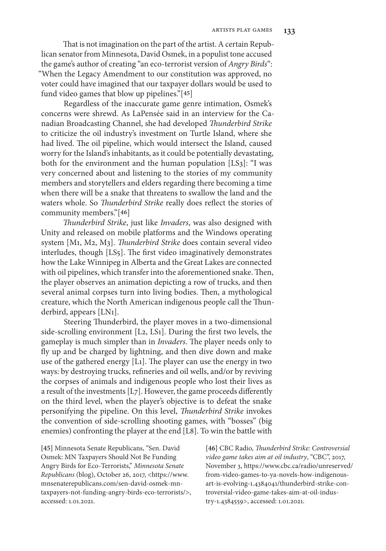That is not imagination on the part of the artist. A certain Republican senator from Minnesota, David Osmek, in a populist tone accused the game's author of creating "an eco-terrorist version of *Angry Birds*": "When the Legacy Amendment to our constitution was approved, no voter could have imagined that our taxpayer dollars would be used to fund video games that blow up pipelines."[**45**]

Regardless of the inaccurate game genre intimation, Osmek's concerns were shrewd. As LaPensée said in an interview for the Canadian Broadcasting Channel, she had developed *Thunderbird Strike* to criticize the oil industry's investment on Turtle Island, where she had lived. The oil pipeline, which would intersect the Island, caused worry for the Island's inhabitants, as it could be potentially devastating, both for the environment and the human population [LS3]: "I was very concerned about and listening to the stories of my community members and storytellers and elders regarding there becoming a time when there will be a snake that threatens to swallow the land and the waters whole. So *Thunderbird Strike* really does reflect the stories of community members."[**46**]

*Thunderbird Strike*, just like *Invaders*, was also designed with Unity and released on mobile platforms and the Windows operating system [M1, M2, M3]. *Thunderbird Strike* does contain several video interludes, though [LS5]. The first video imaginatively demonstrates how the Lake Winnipeg in Alberta and the Great Lakes are connected with oil pipelines, which transfer into the aforementioned snake. Then, the player observes an animation depicting a row of trucks, and then several animal corpses turn into living bodies. Then, a mythological creature, which the North American indigenous people call the Thunderbird, appears [LN1].

Steering Thunderbird, the player moves in a two-dimensional side-scrolling environment [L2, LS1]. During the first two levels, the gameplay is much simpler than in *Invaders*. The player needs only to fly up and be charged by lightning, and then dive down and make use of the gathered energy [L1]. The player can use the energy in two ways: by destroying trucks, refineries and oil wells, and/or by reviving the corpses of animals and indigenous people who lost their lives as a result of the investments [L7]. However, the game proceeds differently on the third level, when the player's objective is to defeat the snake personifying the pipeline. On this level, *Thunderbird Strike* invokes the convention of side-scrolling shooting games, with "bosses" (big enemies) confronting the player at the end [L8]. To win the battle with

**[45]** Minnesota Senate Republicans, "Sen. David Osmek: MN Taxpayers Should Not Be Funding Angry Birds for Eco-Terrorists," *Minnesota Senate Republicans* (blog), October 26, 2017, <https://www. mnsenaterepublicans.com/sen-david-osmek-mntaxpayers-not-funding-angry-birds-eco-terrorists/>, accessed: 1.01.2021.

**[46]** CBC Radio, *Thunderbird Strike: Controversial video game takes aim at oil industry*, "CBC", 2017, November 3, https://www.cbc.ca/radio/unreserved/ from-video-games-to-ya-novels-how-indigenousart-is-evolving-1.4384041/thunderbird-strike-controversial-video-game-takes-aim-at-oil-industry-1.4384559>, accessed: 1.01.2021.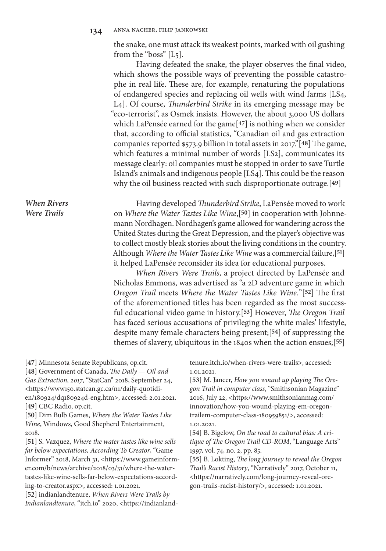the snake, one must attack its weakest points, marked with oil gushing from the "boss" [L5].

Having defeated the snake, the player observes the final video, which shows the possible ways of preventing the possible catastrophe in real life. These are, for example, renaturing the populations of endangered species and replacing oil wells with wind farms [LS4, L4]. Of course, *Thunderbird Strike* in its emerging message may be "eco-terrorist", as Osmek insists. However, the about 3,000 US dollars which LaPensée earned for the game[**47**] is nothing when we consider that, according to official statistics, "Canadian oil and gas extraction companies reported \$573.9 billion in total assets in 2017."[**48**] The game, which features a minimal number of words [LS2], communicates its message clearly: oil companies must be stopped in order to save Turtle Island's animals and indigenous people [LS4]. This could be the reason why the oil business reacted with such disproportionate outrage.[**49**]

*When Rivers Were Trails*

Having developed *Thunderbird Strike*, LaPensée moved to work on *Where the Water Tastes Like Wine*,[**50**] in cooperation with Johnnemann Nordhagen. Nordhagen's game allowed for wandering across the United States during the Great Depression, and the player's objective was to collect mostly bleak stories about the living conditions in the country. Although *Where the Water Tastes Like Wine* was a commercial failure,[**51**] it helped LaPensée reconsider its idea for educational purposes.

*When Rivers Were Trails*, a project directed by LaPensée and Nicholas Emmons, was advertised as "a 2D adventure game in which *Oregon Trail* meets *Where the Water Tastes Like Wine.*"[**52**] The first of the aforementioned titles has been regarded as the most successful educational video game in history.[**53**] However, *The Oregon Trail* has faced serious accusations of privileging the white males' lifestyle, despite many female characters being present;[**54**] of suppressing the themes of slavery, ubiquitous in the 1840s when the action ensues;[**55**]

**[47]** Minnesota Senate Republicans, op.cit.

**[48]** Government of Canada, *The Daily — Oil and Gas Extraction, 2017*, "StatCan" 2018, September 24, <https://www150.statcan.gc.ca/n1/daily-quotidien/180924/dq180924d-eng.htm>, accessed: 2.01.2021. **[49]** CBC Radio, op.cit.

**[50]** Dim Bulb Games, *Where the Water Tastes Like Wine*, Windows, Good Shepherd Entertainment, 2018.

**[51]** S. Vazquez, *Where the water tastes like wine sells far below expectations, According To Creator*, "Game Informer" 2018, March 31, <https://www.gameinformer.com/b/news/archive/2018/03/31/where-the-watertastes-like-wine-sells-far-below-expectations-according-to-creator.aspx>, accessed: 1.01.2021.

**[52]** indianlandtenure, *When Rivers Were Trails by Indianlandtenure*, "itch.io" 2020, <https://indianlandtenure.itch.io/when-rivers-were-trails>, accessed: 1.01.2021.

**[53]** M. Jancer, *How you wound up playing The Oregon Trail in computer class*, "Smithsonian Magazine" 2016, July 22, <https://www.smithsonianmag.com/ innovation/how-you-wound-playing-em-oregontrailem-computer-class-180959851/>, accessed: 1.01.2021.

**[54]** B. Bigelow, *On the road to cultural bias: A critique of The Oregon Trail CD-ROM*, "Language Arts" 1997, vol. 74, no. 2, pp. 85.

**[55]** B. Lokting, *The long journey to reveal the Oregon Trail's Racist History*, "Narratively" 2017, October 11, <https://narratively.com/long-journey-reveal-oregon-trails-racist-history/>, accessed: 1.01.2021.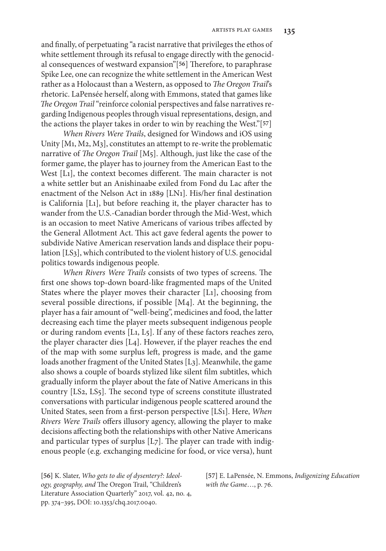and finally, of perpetuating "a racist narrative that privileges the ethos of white settlement through its refusal to engage directly with the genocidal consequences of westward expansion"[**56**] Therefore, to paraphrase Spike Lee, one can recognize the white settlement in the American West rather as a Holocaust than a Western, as opposed to *The Oregon Trail*'s rhetoric. LaPensée herself, along with Emmons, stated that games like *The Oregon Trail* "reinforce colonial perspectives and false narratives regarding Indigenous peoples through visual representations, design, and the actions the player takes in order to win by reaching the West."[**57**]

*When Rivers Were Trails*, designed for Windows and iOS using Unity [M1, M2, M3], constitutes an attempt to re-write the problematic narrative of *The Oregon Trail* [M5]. Although, just like the case of the former game, the player has to journey from the American East to the West [L1], the context becomes different. The main character is not a white settler but an Anishinaabe exiled from Fond du Lac after the enactment of the Nelson Act in 1889 [LN1]. His/her final destination is California [L1], but before reaching it, the player character has to wander from the U.S.-Canadian border through the Mid-West, which is an occasion to meet Native Americans of various tribes affected by the General Allotment Act. This act gave federal agents the power to subdivide Native American reservation lands and displace their population [LS3], which contributed to the violent history of U.S. genocidal politics towards indigenous people.

*When Rivers Were Trails* consists of two types of screens. The first one shows top-down board-like fragmented maps of the United States where the player moves their character [L1], choosing from several possible directions, if possible [M4]. At the beginning, the player has a fair amount of "well-being", medicines and food, the latter decreasing each time the player meets subsequent indigenous people or during random events [L1, L5]. If any of these factors reaches zero, the player character dies [L4]. However, if the player reaches the end of the map with some surplus left, progress is made, and the game loads another fragment of the United States [L3]. Meanwhile, the game also shows a couple of boards stylized like silent film subtitles, which gradually inform the player about the fate of Native Americans in this country [LS2, LS5]. The second type of screens constitute illustrated conversations with particular indigenous people scattered around the United States, seen from a first-person perspective [LS1]. Here, *When Rivers Were Trails* offers illusory agency, allowing the player to make decisions affecting both the relationships with other Native Americans and particular types of surplus [L7]. The player can trade with indigenous people (e.g. exchanging medicine for food, or vice versa), hunt

**[56]** K. Slater, *Who gets to die of dysentery?: Ideology, geography, and* The Oregon Trail, "Children's Literature Association Quarterly" 2017, vol. 42, no. 4, pp. 374–395, DOI: 10.1353/chq.2017.0040.

**[57]** E. LaPensée, N. Emmons, *Indigenizing Education with the Game*…, p. 76.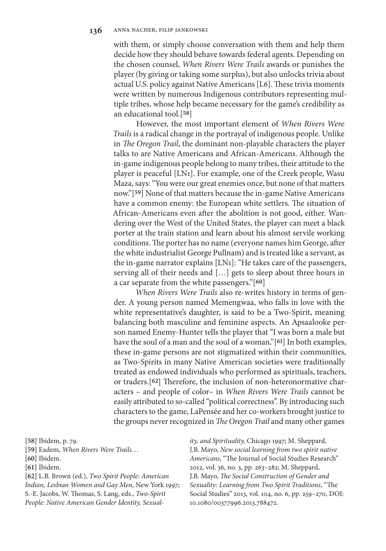with them, or simply choose conversation with them and help them decide how they should behave towards federal agents. Depending on the chosen counsel, *When Rivers Were Trails* awards or punishes the player (by giving or taking some surplus), but also unlocks trivia about actual U.S. policy against Native Americans [L6]. These trivia moments were written by numerous Indigenous contributors representing multiple tribes, whose help became necessary for the game's credibility as an educational tool.[**58**]

However, the most important element of *When Rivers Were Trails* is a radical change in the portrayal of indigenous people. Unlike in *The Oregon Trail*, the dominant non-playable characters the player talks to are Native Americans and African-Americans. Although the in-game indigenous people belong to many tribes, their attitude to the player is peaceful [LN1]. For example, one of the Creek people, Wasu Maza, says: "You were our great enemies once, but none of that matters now."[**59**] None of that matters because the in-game Native Americans have a common enemy: the European white settlers. The situation of African-Americans even after the abolition is not good, either. Wandering over the West of the United States, the player can meet a black porter at the train station and learn about his almost servile working conditions. The porter has no name (everyone names him George, after the white industrialist George Pullnam) and is treated like a servant, as the in-game narrator explains [LN1]: "He takes care of the passengers, serving all of their needs and […] gets to sleep about three hours in a car separate from the white passengers."[**60**]

*When Rivers Were Trails* also re-writes history in terms of gender. A young person named Memengwaa, who falls in love with the white representative's daughter, is said to be a Two-Spirit, meaning balancing both masculine and feminine aspects. An Apsaalooke person named Enemy-Hunter tells the player that "I was born a male but have the soul of a man and the soul of a woman."[**61**] In both examples, these in-game persons are not stigmatized within their communities, as Two-Spirits in many Native American societies were traditionally treated as endowed individuals who performed as spirituals, teachers, or traders.[**62**] Therefore, the inclusion of non-heteronormative characters – and people of color– in *When Rivers Were Trails* cannot be easily attributed to so-called "political correctness". By introducing such characters to the game, LaPensée and her co-workers brought justice to the groups never recognized in *The Oregon Trail* and many other games

**[61]** Ibidem.

**[62]** L.B. Brown (ed.), *Two Spirit People: American Indian, Lesbian Women and Gay Men,* New York 1997; S.-E. Jacobs, W. Thomas, S. Lang, eds., *Two-Spirit People: Native American Gender Identity, Sexual-* *ity, and Spirituality,* Chicago 1997; M. Sheppard, J.B. Mayo, *New social learning from two spirit native Americans*, "The Journal of Social Studies Research" 2012, vol. 36, no. 3, pp. 263–282; M. Sheppard, J.B. Mayo, *The Social Construction of Gender and Sexuality: Learning from Two Spirit Traditions*, "The Social Studies" 2013, vol. 104, no. 6, pp. 259–270, DOI: 10.1080/00377996.2013.788472.

**<sup>[58]</sup>** Ibidem, p. 79.

**<sup>[59]</sup>** Eadem, *When Rivers Were Trails*…

**<sup>[60]</sup>** Ibidem.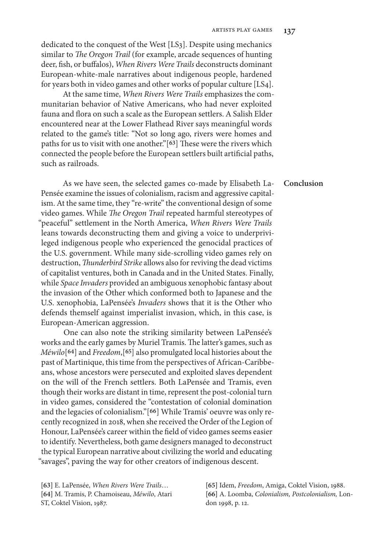dedicated to the conquest of the West [LS3]. Despite using mechanics similar to *The Oregon Trail* (for example, arcade sequences of hunting deer, fish, or buffalos), *When Rivers Were Trails* deconstructs dominant European-white-male narratives about indigenous people, hardened for years both in video games and other works of popular culture [LS4].

At the same time, *When Rivers Were Trails* emphasizes the communitarian behavior of Native Americans, who had never exploited fauna and flora on such a scale as the European settlers. A Salish Elder encountered near at the Lower Flathead River says meaningful words related to the game's title: "Not so long ago, rivers were homes and paths for us to visit with one another."[**63**] These were the rivers which connected the people before the European settlers built artificial paths, such as railroads.

As we have seen, the selected games co-made by Elisabeth La-Pensée examine the issues of colonialism, racism and aggressive capitalism. At the same time, they "re-write" the conventional design of some video games. While *The Oregon Trail* repeated harmful stereotypes of "peaceful" settlement in the North America, *When Rivers Were Trails* leans towards deconstructing them and giving a voice to underprivileged indigenous people who experienced the genocidal practices of the U.S. government. While many side-scrolling video games rely on destruction, *Thunderbird Strike* allows also for reviving the dead victims of capitalist ventures, both in Canada and in the United States. Finally, while *Space Invaders* provided an ambiguous xenophobic fantasy about the invasion of the Other which conformed both to Japanese and the U.S. xenophobia, LaPensée's *Invaders* shows that it is the Other who defends themself against imperialist invasion, which, in this case, is European-American aggression.

One can also note the striking similarity between LaPensée's works and the early games by Muriel Tramis. The latter's games, such as *Méwilo*[**64**] and *Freedom*,[**65**] also promulgated local histories about the past of Martinique, this time from the perspectives of African-Caribbeans, whose ancestors were persecuted and exploited slaves dependent on the will of the French settlers. Both LaPensée and Tramis, even though their works are distant in time, represent the post-colonial turn in video games, considered the "contestation of colonial domination and the legacies of colonialism."[**66**] While Tramis' oeuvre was only recently recognized in 2018, when she received the Order of the Legion of Honour, LaPensée's career within the field of video games seems easier to identify. Nevertheless, both game designers managed to deconstruct the typical European narrative about civilizing the world and educating "savages", paving the way for other creators of indigenous descent.

**[63]** E. LaPensée, *When Rivers Were Trails*… **[64]** M. Tramis, P. Chamoiseau, *Méwilo*, Atari ST, Coktel Vision, 1987.

**[65]** Idem, *Freedom*, Amiga, Coktel Vision, 1988. **[66]** A. Loomba, *Colonialism, Postcolonialism,* London 1998, p. 12.

#### **Conclusion**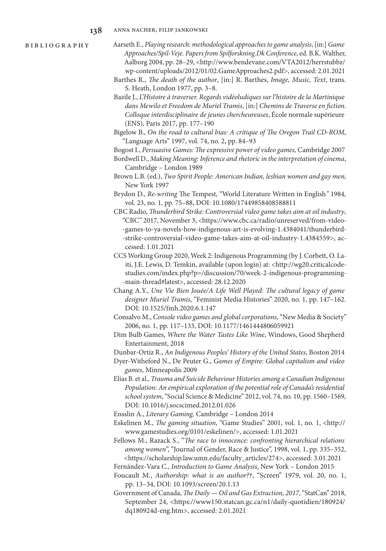bibliography

- Aarseth E., *Playing research: methodological approaches to game analysis*, [in:] *Game Approaches/Spil-Veje. Papers from Spilforskning.Dk Conference*, ed. B.K. Walther, Aalborg 2004, pp. 28-29, <http://www.bendevane.com/VTA2012/herrstubbz/ wp-content/uploads/2012/01/02.GameApproaches2.pdf>, accessed: 2.01.2021
- Barthes R., *The death of the author*, [in:] R. Barthes, *Image, Music, Text*, trans. S. Heath, London 1977, pp. 3–8.
- Bazile J., *L'Histoire à traverser. Regards vidéoludiques sur l'histoire de la Martinique dans Mewilo et Freedom de Muriel Tramis*, [in:] *Chemins de Traverse en fiction. Colloque interdisciplinaire de jeunes chercheureuses*, École normale supérieure (ENS), Paris 2017, pp. 177–190
- Bigelow B., *On the road to cultural bias: A critique of The Oregon Trail CD-ROM*, "Language Arts" 1997, vol. 74, no. 2, pp. 84–93

Bogost I., *Persuasive Games: The expressive power of video games,* Cambridge 2007

- Bordwell D., *Making Meaning: Inference and rhetoric in the interpretation of cinema*, Cambridge – London 1989
- Brown L.B. (ed.), *Two Spirit People: American Indian, lesbian women and gay men,*  New York 1997
- Brydon D., *Re-writing* The Tempest, "World Literature Written in English*"* 1984, vol. 23, no. 1, pp. 75–88, DOI: 10.1080/17449858408588811
- CBC Radio, *Thunderbird Strike: Controversial video game takes aim at oil industry*, "CBC" 2017, November 3, <https://www.cbc.ca/radio/unreserved/from-video- -games-to-ya-novels-how-indigenous-art-is-evolving-1.4384041/thunderbird- -strike-controversial-video-game-takes-aim-at-oil-industry-1.4384559>, accessed: 1.01.2021
- CCS Working Group 2020, Week 2: Indigenous Programming (by J. Corbett, O. Laiti, J.E. Lewis, D. Temkin, available (upon login) at: <http://wg20.criticalcodestudies.com/index.php?p=/discussion/70/week-2-indigenous-programming- -main-thread#latest>, accessed: 28.12.2020
- Chang A.Y., *Une Vie Bien Jouée/A Life Well Played: The cultural legacy of game designer Muriel Tramis*, "Feminist Media Histories" 2020, no. 1, pp. 147–162. DOI: 10.1525/fmh.2020.6.1.147
- Consalvo M., *Console video games and global corporations*, "New Media & Society" 2006, no. 1, pp. 117–133, DOI: 10.1177/1461444806059921
- Dim Bulb Games, *Where the Water Tastes Like Wine*, Windows, Good Shepherd Entertainment, 2018

Dunbar-Ortiz R., *An Indigenous Peoples' History of the United States*, Boston 2014

- Dyer-Witheford N., De Peuter G., *Games of Empire: Global capitalism and video games*, Minneapolis 2009
- Elias B. et al., *Trauma and Suicide Behaviour Histories among a Canadian Indigenous Population: An empirical exploration of the potential role of Canada's residential school system*, "Social Science & Medicine" 2012, vol. 74, no. 10, pp. 1560–1569, DOI: 10.1016/j.socscimed.2012.01.026

Ensslin A., *Literary Gaming,* Cambridge – London 2014

- Eskelinen M., *The gaming situation*, "Game Studies" 2001, vol. 1, no. 1, <http:// www.gamestudies.org/0101/eskelinen/>, accessed: 1.01.2021
- Fellows M., Razack S., "*The race to innocence: confronting hierarchical relations among women*", "Journal of Gender, Race & Justice", 1998, vol. 1, pp. 335–352, <https://scholarship.law.umn.edu/faculty\_articles/274>, accessed: 3.01.2021

Fernández-Vara C., *Introduction to Game Analysis*, New York – London 2015

- Foucault M., *Authorship: what is an author?†*, "Screen" 1979, vol. 20, no. 1, pp. 13–34, DOI: 10.1093/screen/20.1.13
- Government of Canada, *The Daily Oil and Gas Extraction, 2017*, "StatCan" 2018, September 24, <https://www150.statcan.gc.ca/n1/daily-quotidien/180924/ dq180924d-eng.htm>, accessed: 2.01.2021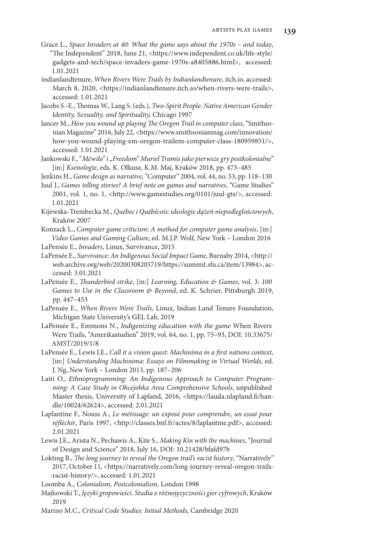- Grace L., *Space Invaders at 40: What the game says about the 1970s and today*, "The Independent" 2018, June 21, <https://www.independent.co.uk/life-style/ gadgets-and-tech/space-invaders-game-1970s-a8405886.html>, accessed: 1.01.2021
- indianlandtenure, *When Rivers Were Trails by Indianlandtenure*, itch.io, accessed: March 8, 2020, <https://indianlandtenure.itch.io/when-rivers-were-trails>, accessed: 1.01.2021
- Jacobs S.-E., Thomas W., Lang S. (eds.), *Two-Spirit People: Native American Gender Identity, Sexuality, and Spirituality,* Chicago 1997
- Jancer M., *How you wound up playing The Oregon Trail in computer class*, "Smithsonian Magazine" 2016, July 22, <https://www.smithsonianmag.com/innovation/ how-you-wound-playing-em-oregon-trailem-computer-class-180959851/>, accessed: 1.01.2021
- Jankowski F., "Méwilo" i "Freedom" Muriel Tramis jako pierwsze gry postkolonialne" [in:] *Ksenologie*, eds. K. Olkusz, K.M. Maj, Kraków 2018, pp. 473–485
- Jenkins H., *Game design as narrative*, "Computer" 2004, vol. 44, no. 53, pp. 118–130
- Juul J., *Games telling stories? A brief note on games and narratives*, "Game Studies" 2001, vol. 1, no. 1, <http://www.gamestudies.org/0101/juul-gts/>, accessed: 1.01.2021
- Kijewska-Trembecka M., *Québec i Québécois: ideologie dążeń niepodległościowych*, Kraków 2007
- Konzack L., *Computer game criticism: A method for computer game analysis*, [in:] *Video Games and Gaming Culture*, ed. M.J.P. Wolf, New York – London 2016 LaPensée E., *Invaders*, Linux, Survivance, 2015
- LaPensée E., *Survivance: An Indigenous Social Impact Game*, Burnaby 2014, <http:// web.archive.org/web/20200308205719/https://summit.sfu.ca/item/13984>, accessed: 3.01.2021
- LaPensée E., *Thunderbird strike*, [in:] *Learning, Education & Games*, vol. 3: *100 Games to Use in the Classroom & Beyond*, ed. K. Schrier, Pittsburgh 2019, pp. 447–453
- LaPensée E., *When Rivers Were Trails,* Linux, Indian Land Tenure Foundation, Michigan State University's GEL Lab, 2019
- LaPensée E., Emmons N., *Indigenizing education with the game* When Rivers Were Trails, "Amerikastudien" 2019, vol. 64, no. 1, pp. 75–93, DOI: 10.33675/ AMST/2019/1/8
- LaPensée E., Lewis J.E., *Call it a vision quest: Machinima in a first nations context*, [in:] *Understanding Machinima: Essays on Filmmaking in Virtual Worlds*, ed. J. Ng, New York – London 2013, pp. 187–206
- Laiti O., *Ethnoprogramming: An Indigenous Approach to Computer Programming: A Case Study in Ohcejohka Area Comprehensive Schools*, unpublished Master thesis, University of Lapland, 2016, <https://lauda.ulapland.fi/handle/10024/62624>, accessed: 2.01.2021
- Laplantine F., Nouss A., *Le métissage: un exposé pour comprendre, un essai pour réfléchir*, Paris 1997, <http://classes.bnf.fr/actes/8/laplantine.pdf>, accessed: 2.01.2021
- Lewis J.E., Arista N., Pechawis A., Kite S., *Making Kin with the machines*, "Journal of Design and Science" 2018, July 16, DOI: 10.21428/bfafd97b
- Lokting B., *The long journey to reveal the Oregon trail's racist history*, "Narratively" 2017, October 11, <https://narratively.com/long-journey-reveal-oregon-trails- -racist-history/>, accessed: 1.01.2021
- Loomba A., *Colonialism, Postcolonialism,* London 1998
- Majkowski T., *Języki gropowieści. Studia o różnojęzyczności gier cyfrowych*, Kraków 2019
- Marino M.C., *Critical Code Studies: Initial Methods*, Cambridge 2020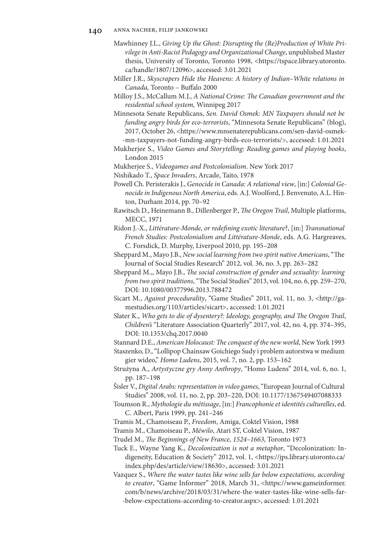### **140** anna nacher, filip jankowski

- Mawhinney J.L., *Giving Up the Ghost: Disrupting the (Re)Production of White Privilege in Anti-Racist Pedagogy and Organizational Change*, unpublished Master thesis, University of Toronto, Toronto 1998, <https://tspace.library.utoronto. ca/handle/1807/12096>, accessed: 3.01.2021
- Miller J.R., *Skyscrapers Hide the Heavens: A history of Indian–White relations in Canada,* Toronto – Buffalo 2000
- Milloy J.S., McCallum M.J., *A National Crime: The Canadian government and the residential school system,* Winnipeg 2017
- Minnesota Senate Republicans, *Sen. David Osmek: MN Taxpayers should not be funding angry birds for eco-terrorists*, "Minnesota Senate Republicans" (blog), 2017, October 26, <https://www.mnsenaterepublicans.com/sen-david-osmek- -mn-taxpayers-not-funding-angry-birds-eco-terrorists/>, accessed: 1.01.2021
- Mukherjee S., *Video Games and Storytelling: Reading games and playing books*, London 2015
- Mukherjee S., *Videogames and Postcolonialism*. New York 2017
- Nishikado T., *Space Invaders*, Arcade, Taito, 1978
- Powell Ch. Peristerakis J., *Genocide in Canada: A relational view*, [in:] *Colonial Genocide in Indigenous North America*, eds. A.J. Woolford, J. Benvenuto, A.L. Hinton, Durham 2014, pp. 70–92
- Rawitsch D., Heinemann B., Dillenberger P., *The Oregon Trail*, Multiple platforms, MECC, 1971
- Ridon J.-X., *Littérature-Monde, or redefining exotic literature*?, [in:] *Transnational French Studies: Postcolonialism and Littérature-Monde*, eds. A.G. Hargreaves, C. Forsdick, D. Murphy, Liverpool 2010, pp. 195–208
- Sheppard M., Mayo J.B., *New social learning from two spirit native Americans*, "The Journal of Social Studies Research" 2012, vol. 36, no. 3, pp. 263–282
- Sheppard M.,, Mayo J.B., *The social construction of gender and sexuality: learning from two spirit traditions*, "The Social Studies" 2013, vol. 104, no. 6, pp. 259–270, DOI: 10.1080/00377996.2013.788472
- Sicart M., *Against procedurality*, "Game Studies" 2011, vol. 11, no. 3, <http://gamestudies.org/1103/articles/sicart>, accessed: 1.01.2021
- Slater K., *Who gets to die of dysentery?: Ideology, geography, and The Oregon Trail*, *Children's* "Literature Association Quarterly" 2017, vol. 42, no. 4, pp. 374–395, DOI: 10.1353/chq.2017.0040
- Stannard D.E., *American Holocaust: The conquest of the new world*, New York 1993
- Staszenko, D., "Lollipop Chainsaw Goichiego Sudy i problem autorstwa w medium gier wideo," *Homo Ludens*, 2015, vol. 7, no. 2, pp. 153–162
- Strużyna A., *Artystyczne gry Anny Anthropy*, "Homo Ludens" 2014, vol. 6, no. 1, pp. 187–198
- Šisler V., *Digital Arabs: representation in video games*, "European Journal of Cultural Studies" 2008, vol. 11, no. 2, pp. 203–220, DOI: 10.1177/1367549407088333
- Toumson R., *Mythologie du métissage*, [in:] *Francophonie et identités culturelles*, ed. C. Albert, Paris 1999, pp. 241–246
- Tramis M., Chamoiseau P., *Freedom*, Amiga, Coktel Vision, 1988
- Tramis M., Chamoiseau P., *Méwilo*, Atari ST, Coktel Vision, 1987
- Trudel M., *The Beginnings of New France, 1524–1663*, Toronto 1973
- Tuck E., Wayne Yang K., *Decolonization is not a metaphor*, "Decolonization: Indigeneity, Education & Society" 2012, vol. 1, <https://jps.library.utoronto.ca/ index.php/des/article/view/18630>, accessed: 3.01.2021
- Vazquez S., *Where the water tastes like wine sells far below expectations, according to creator*, "Game Informer" 2018, March 31, <https://www.gameinformer. com/b/news/archive/2018/03/31/where-the-water-tastes-like-wine-sells-far- -below-expectations-according-to-creator.aspx>, accessed: 1.01.2021